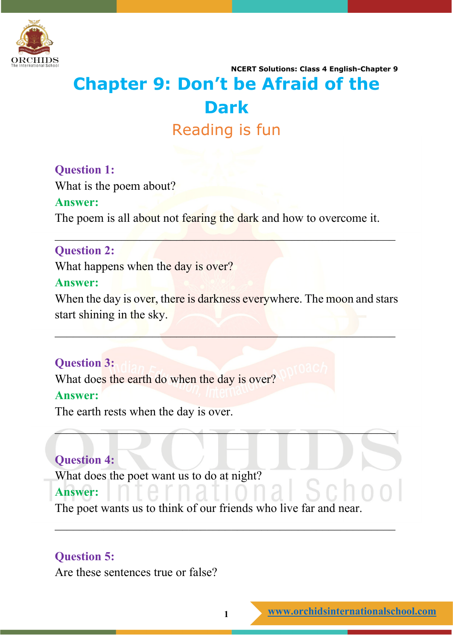

# **NCERT Solutions: Class 4 English-Chapter 9 Chapter 9: Don't be Afraid of the Dark** Reading is fun

## **Question 1:**

What is the poem about?

#### **Answer:**

The poem is all about not fearing the dark and how to overcome it.

 $\mathcal{L}_\mathcal{L}$  , and the contribution of the contribution of the contribution of the contribution of the contribution of the contribution of the contribution of the contribution of the contribution of the contribution of

#### **Question 2:**

What happens when the day is over?

#### **Answer:**

When the day is over, there is darkness everywhere. The moon and stars start shining in the sky.

 $\mathcal{L} = \{ \mathcal{L} \mid \mathcal{L} \in \mathcal{L} \}$  , where  $\mathcal{L} = \{ \mathcal{L} \mid \mathcal{L} \in \mathcal{L} \}$ 

 $\mathcal{L}$  , we can consider the contract of the constant of the contract of  $\mathcal{L}$ 

## **Question 3:**

What does the earth do when the day is over? **Answer:**

The earth rests when the day is over.

## **Question 4:**

What does the poet want us to do at night?

#### **Answer:**

The poet wants us to think of our friends who live far and near.

## **Question 5:**

Are these sentences true or false?

\_\_\_\_\_\_\_\_\_\_\_\_\_\_\_\_\_\_\_\_\_\_\_\_\_\_\_\_\_\_\_\_\_\_\_\_\_\_\_\_\_\_\_\_\_\_\_\_\_\_\_\_\_\_\_\_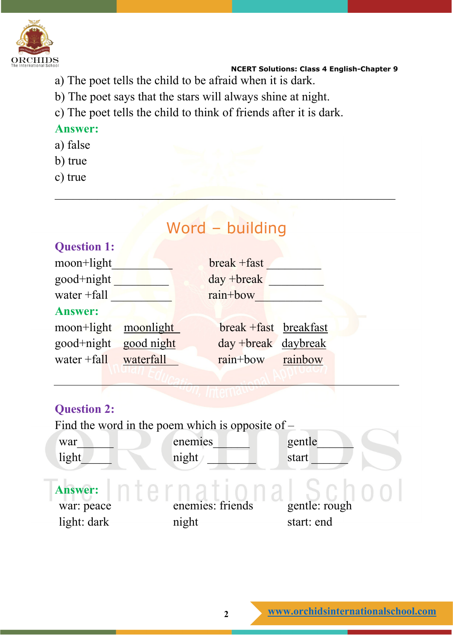

- a) The poet tells the child to be afraid when it is dark.
- b) The poet says that the stars will always shine at night.
- c) The poet tells the child to think of friends after it is dark.

#### **Answer:**

- a) false
- b) true
- c) true

# Word – building **Question 1:** moon+light break +fast good+night day +break water +fall rain+bow **Answer:** moon+light moonlight break +fast breakfast good+night good night day +break daybreak water +fall waterfall rain+bow rainbow **Question 2:** Find the word in the poem which is opposite of – war\_\_\_\_\_\_ enemies\_\_\_\_\_\_ gentle\_\_\_\_\_\_  $light$  night  $\prime$  start  $\prime$ **Answer:**

 $\mathcal{L} = \mathcal{L} \left( \mathcal{L} \right)$  , where  $\mathcal{L} = \mathcal{L} \left( \mathcal{L} \right)$  , where  $\mathcal{L} = \mathcal{L} \left( \mathcal{L} \right)$ 

war: peace enemies: friends gentle: rough light: dark night start: end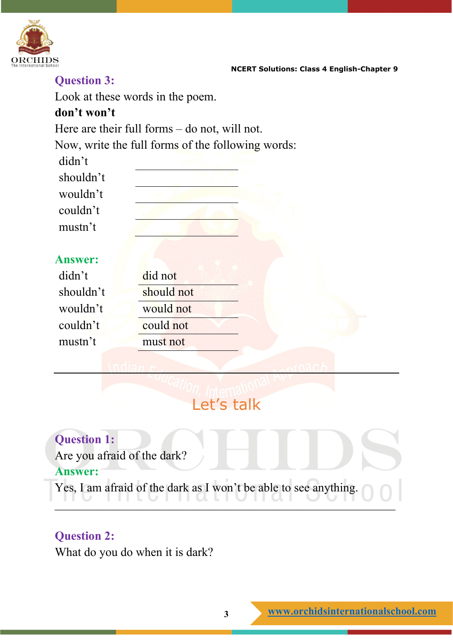

## **Question 3:**

Look at these words in the poem.

#### **don't won't**

Here are their full forms – do not, will not.

Now, write the full forms of the following words:

| didn't         |            |  |
|----------------|------------|--|
| shouldn't      |            |  |
| wouldn't       |            |  |
| couldn't       |            |  |
| mustn't        |            |  |
|                |            |  |
| <b>Answer:</b> |            |  |
| didn't         | did not    |  |
| shouldn't      | should not |  |
| wouldn't       | would not  |  |
| couldn't       | could not  |  |
| mustn't        | must not   |  |
|                |            |  |
|                |            |  |

# Let's talk

**Question 1:** Are you afraid of the dark? **Answer:** Yes, I am afraid of the dark as I won't be able to see anything. 110 111 coindibilidad out of the coing

## **Question 2:**

What do you do when it is dark?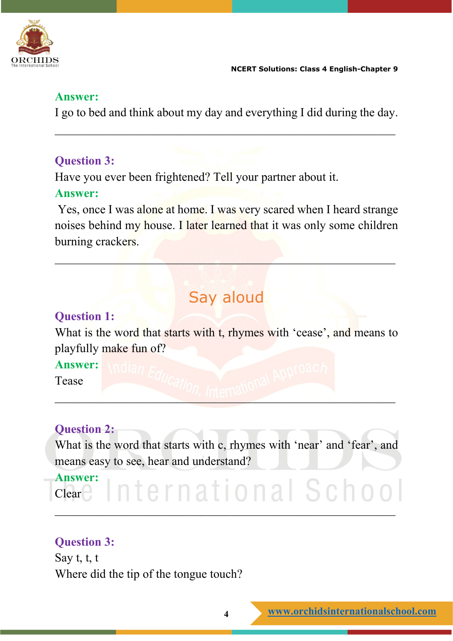

#### **Answer:**

I go to bed and think about my day and everything I did during the day.

\_\_\_\_\_\_\_\_\_\_\_\_\_\_\_\_\_\_\_\_\_\_\_\_\_\_\_\_\_\_\_\_\_\_\_\_\_\_\_\_\_\_\_\_\_\_\_\_\_\_\_\_\_\_\_\_

## **Question 3:**

Have you ever been frightened? Tell your partner about it.

#### **Answer:**

Yes, once I was alone at home. I was very scared when I heard strange noises behind my house. I later learned that it was only some children burning crackers.

 $\mathcal{L} = \mathcal{L} \mathcal{L} = \mathcal{L} \mathcal{L} = \mathcal{L} \mathcal{L} \mathcal{L} = \mathcal{L} \mathcal{L} \mathcal{L} \mathcal{L} \mathcal{L} = \mathcal{L} \mathcal{L} \mathcal{L} \mathcal{L} \mathcal{L} \mathcal{L} \mathcal{L} \mathcal{L} \mathcal{L} \mathcal{L} \mathcal{L} \mathcal{L} \mathcal{L} \mathcal{L} \mathcal{L} \mathcal{L} \mathcal{L} \mathcal{L} \mathcal{L} \mathcal{L} \mathcal{L} \mathcal{L} \mathcal{L$ 

# Say aloud

#### **Question 1:**

What is the word that starts with t, rhymes with 'cease', and means to playfully make fun of?

**Answer:**

Tease

\_\_\_\_\_\_\_\_\_\_\_\_\_\_\_\_\_\_\_\_\_\_\_\_\_\_\_\_\_\_\_\_\_\_\_\_\_\_\_\_\_\_\_\_\_\_\_\_\_\_\_\_\_\_\_\_

## **Question 2:**

What is the word that starts with c, rhymes with 'near' and 'fear', and means easy to see, hear and understand?

**Answer:** nternational School Clear<sub>1</sub> \_\_\_\_\_\_\_\_\_\_\_\_\_\_\_\_\_\_\_\_\_\_\_\_\_\_\_\_\_\_\_\_\_\_\_\_\_\_\_\_\_\_\_\_\_\_\_\_\_\_\_\_\_\_\_\_

## **Question 3:**

Say t, t, t Where did the tip of the tongue touch?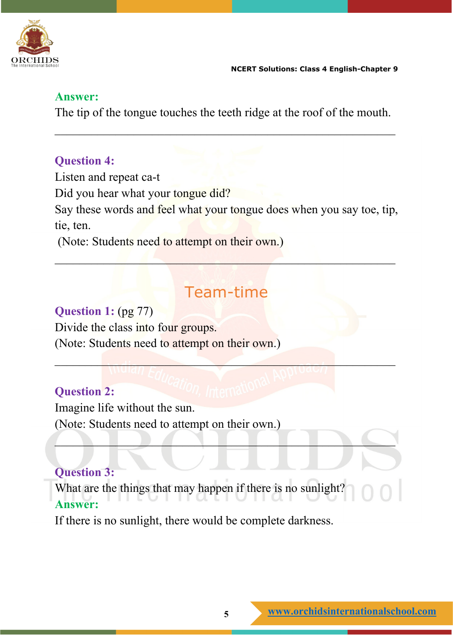

#### **Answer:**

The tip of the tongue touches the teeth ridge at the roof of the mouth.

\_\_\_\_\_\_\_\_\_\_\_\_\_\_\_\_\_\_\_\_\_\_\_\_\_\_\_\_\_\_\_\_\_\_\_\_\_\_\_\_\_\_\_\_\_\_\_\_\_\_\_\_\_\_\_\_

#### **Question 4:**

Listen and repeat ca-t Did you hear what your tongue did? Say these words and feel what your tongue does when you say toe, tip, tie, ten. (Note: Students need to attempt on their own.)

# Team-time

 $\mathcal{L} = \{ \mathcal{L} \mid \mathcal{L} \in \mathcal{L} \}$  , where  $\mathcal{L} = \{ \mathcal{L} \mid \mathcal{L} \in \mathcal{L} \}$  , where  $\mathcal{L} = \{ \mathcal{L} \mid \mathcal{L} \in \mathcal{L} \}$ 

 $\Box$ 

 $\mathcal{L}_\mathcal{A} = \mathcal{L}_\mathcal{A} + \mathcal{L}_\mathcal{A} + \mathcal{L}_\mathcal{A} + \mathcal{L}_\mathcal{A} + \mathcal{L}_\mathcal{A} + \mathcal{L}_\mathcal{A} + \mathcal{L}_\mathcal{A} + \mathcal{L}_\mathcal{A} + \mathcal{L}_\mathcal{A} + \mathcal{L}_\mathcal{A} + \mathcal{L}_\mathcal{A} + \mathcal{L}_\mathcal{A} + \mathcal{L}_\mathcal{A} + \mathcal{L}_\mathcal{A} + \mathcal{L}_\mathcal{A} + \mathcal{L}_\mathcal{A}$ 

## **Question 1:** (pg 77) Divide the class into four groups. (Note: Students need to attempt on their own.)

#### **Question 2:**

Imagine life without the sun.

(Note: Students need to attempt on their own.)

## **Question 3:**

What are the things that may happen if there is no sunlight? **Answer:**

If there is no sunlight, there would be complete darkness.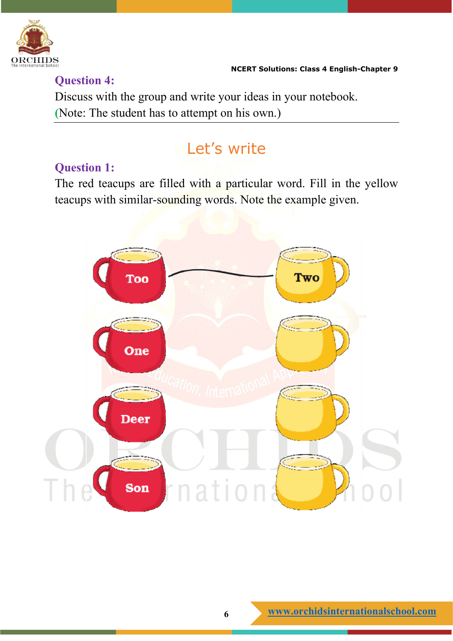

Discuss with the group and write your ideas in your notebook. **(**Note: The student has to attempt on his own.)

## **Let's write**

#### **Question 1:**

**Question 4:**

The red teacups are filled with a particular word. Fill in the yellow teacups with similar-sounding words. Note the example given.

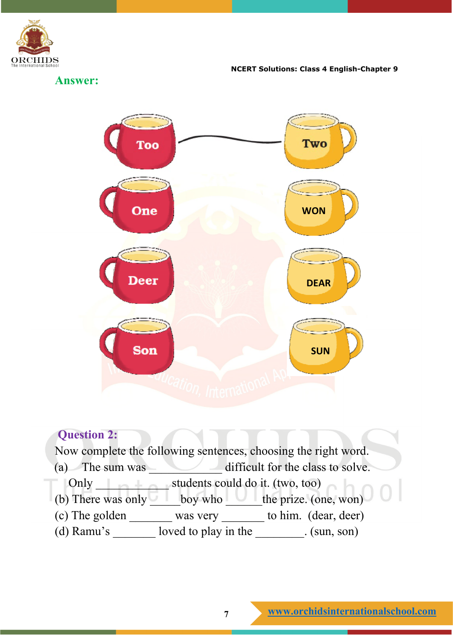

**Answer:**



## **Question 2:** Now complete the following sentences, choosing the right word. (a) The sum was \_\_\_\_\_\_\_\_\_\_\_\_ difficult for the class to solve. Only students could do it. (two, too) (b) There was only  $\qquad \qquad$  boy who  $\qquad$  the prize. (one, won) (c) The golden \_\_\_\_\_\_\_ was very \_\_\_\_\_\_\_ to him. (dear, deer) (d) Ramu's \_\_\_\_\_\_\_ loved to play in the \_\_\_\_\_\_\_\_. (sun, son)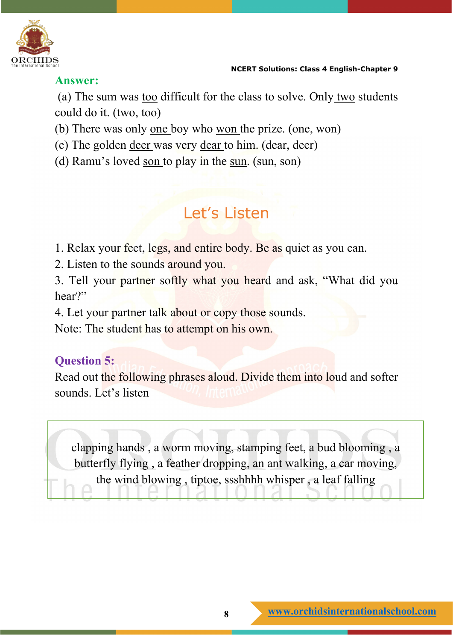

#### **Answer:**

(a) The sum was too difficult for the class to solve. Only two students could do it. (two, too)

(b) There was only one boy who won the prize. (one, won)

(c) The golden deer was very dear to him. (dear, deer)

(d) Ramu's loved son to play in the sun. (sun, son)

# Let's Listen

1. Relax your feet, legs, and entire body. Be as quiet as you can.

2. Listen to the sounds around you.

3. Tell your partner softly what you heard and ask, "What did you hear?"

4. Let your partner talk about or copy those sounds.

Note: The student has to attempt on his own.

#### **Question 5:**

Read out the following phrases aloud. Divide them into loud and softer sounds. Let's listen

clapping hands , a worm moving, stamping feet, a bud blooming , a butterfly flying , a feather dropping, an ant walking, a car moving, the wind blowing , tiptoe, ssshhhh whisper , a leaf falling